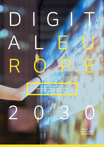### DATA & DEMOCRACY: How the democratic model of society can survive in the digital era

2 0 3 0

 $G$ 

A L E U

R O PE

Alfred<br>Herrhausen<br>Gesellschaft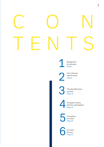## CON TENTS

Background & motivation<br>Page 4

> First: what we need to avoid<br>Page 6

The desirable future scenario<br>Page 10

The goals: literacy, The goals: literacy,<br>diversity, participation<br>Page 2[4](#page-23-0)

The options The option<br>for action<br>Page 26

> Our work process<br>Page 32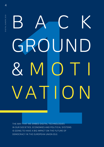# <span id="page-3-0"></span>B A C K<br>
GROUND<br>
WATION<br>
WATION BACK GROUND  $2N$ VATION

IN OUR SOCIETIES, ECONOMIES AND POLITICAL SYSTEMS IS GOING TO HAVE A BIG IMPACT ON THE FUTURE OF DEMOCRACY IN THE EUROPEAN UNION (EU).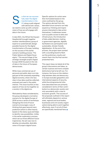o that we can success fully steer the digital transformation in the EU along a path aligned with democratic values, we need to come up with a shared vision of how we will engage with data in the future. S

In late 2021, the Alfred Herrhausen Gesellschaft brought together another interdisciplinary group of experts to systematically design possible futures for the digital transformation of Europe, building on the success of the earlier scenario-building process 'The Public Sphere and Digital Sover eignty'. This second stage of the strategic foresight project Digital Europe 2030 focused on the role of data in the future of European democracies.

While mass commercial use of personal and public data is an integral part of the constantly expanding digital economy, what is far less clear is how data could be collected, analysed and used in the public interest. This issue touches on key aspects of how we live together as a society in the digital era.

Motivated by these considerations, the group developed a normative scenario for the digital Europe of 2030 across a series of workshops. Designing this kind of future scenario encourages a way of thinking that goes beyond mere prediction (which is often heavily based on the status quo) and helps to identify new possibilities. Unlike in the earlier exploratory process, which set out three different future trajectories, the aim was now to develop one plausible, desirable vision of Europe's digital future.

Specific options for action were then formulated based on the vision outlined by the group. The options derived from this desirable future scenario can help expand our thinking and inspire anyone interested to take action themselves. It addresses issues such as public access to data and infrastructure, the introduction of data-aided decision-making in government agencies, digitally facilitated civic participation and sustainable, climate-friendly digitalisation. At the end of the process, the project team worked with a sounding board to flesh out the preliminary results and rework them into the final version presented here.

This report does not detail all of the group's discussions and ideas, as certain nuances and more complex distinctions had to be left out. For instance, the focus on the relation ship between data and democracy in Europe excludes geopolitics and international aspects of security, while the entrepreneurial initiatives described here are primarily considered in terms of their contri bution to a democratic society and only secondarily with a view to economic growth. The success of the proposals outlined in this report will ultimately depend on various state, regional and local bodies, businesses and civil society organi sations being able to work together effectively, even if not all of them are specifically mentioned here.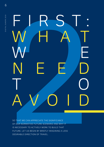## E CAN APPRECIATE THE SIGNIFICANCE FIRST: W HAT W E NEED T O A V O I D

OF OUR NORMATIVE FUTURE SCENARIO AND WHY IT IS NECESSARY TO ACTIVELY WORK TO BUILD THAT FUTURE, LET US BEGIN BY BRIEFLY IMAGINING A LESS DESIRABLE DIRECTION OF TRAVEL.

<span id="page-5-0"></span>6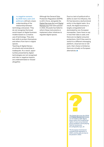### n a negative scenario, by 2030 many users and politicians still lack a basic

understanding of the relationship between technology and power. They do not recognise the broad social impact of digital business models based on a creative use of technology. They also lack skills to protect themselves and others from harm in digital spaces.

Teaching of digital literacy at schools and universities is inadequate. As a result, opportunities presented by digital technologies are not recognised and risks or negative impacts are underestimated or missed altogether.

It is a megative scenario, and though the General Data<br>
by 2030 many users and Protection Regulation (GDPR) ability to exert its influence, the<br>
politicians still lack a basic is still in force, alongside the EU has become Although the General Data Protection Regulation (GDPR) is still in force, alongside the Digital Services Act and Digital Markets Act that were passed in 2022, Brussels has failed to reform these instruments or implement other initiatives to regulate digital spaces.

2 **The Act (DSA)**  $\frac{1}{2}$  **The Digital Service Act (DSA) and Act (DSA) and Act (DSA) and Act (DSA) and Act (DSA) and Act (DSA) and Act (DSA) and Act (DSA) and Act (DSA) and Act (DSA) and Act (DSA) and Act (DSA) and Act (** ability to exert its influence, the EU has become a dysfunctional entity in the digital realm. As a result, the digital economy is largely unregulated and dominated by non-European monopolies. Users have no say in how their data is used, and there are no digital consumer protections. And if they want to switch to a different messaging platform, cloud service or network, their choice is limited as there are virtually no European alternatives.



*The European Commission unveiled draft legislation in 2020, and the acts are due to be passed in 2022.*

*[bit.ly/DigitalEurope\\_01](http://bit.ly/DigitalEurope_01)*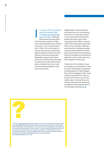I publicly accessible data and open-source technologies have failed. Although government bureaucracies hold enormous volumes of data, users and businesses have minimal access to it, even in anonymised form. Often, this is due simply to the fact that access is technically difficult and the existence of many different interfaces and portals. Meanwhile, governments themselves are no better than they were at making use of their data to plan policy; instead, they rely on analysis and recommendations from external providers.

n Europe, efforts to promote

Digitalisation of administrative processes has only incrementally improved. For most government services and official procedures, people still need to go to their local government office in person rather than being able to deal with them on the computer. Although some decision-making processes by government bodies have been (semi-)automated, these decisions still lack transparency (how did the algorithm come to that result and who designed it that way?).

Finally, the EU has failed to have any influence on standards in infrastructure development, especially the development of technologies like artificial intelligence (AI), cloud systems and platforms. Users in Europe are forced to use non-European apps, cloud services and hardware because the standards are geared to the requirements of non-European businesses.

*"The term open source describes software with licence agreements that include the following three characteristic features and cover the ten points of the open source definition: the software (i.e. the source text) is available in a form that can be read and understood by human users. It can be copied, distributed and used as many times as the users wish, as there are often no restrictions on use or the number of times it can be installed. Users are not often required to pay the licenser for copying and distributing open source software." [bit.ly/DigitalEurope\\_02,](http://bit.ly/DigitalEurope_02) p. 109*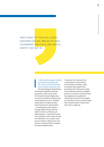SINCE MANY OF THE EU'S LOUDLY FANFARED DIGITAL PROJECTS HAVE FOUNDERED, POLITICAL AND SOCIAL APATHY HAS SET IN.

> n all key technologies, existing asymmetries between the EU, China and the USA have been sharply reinforced, and I

the technological dependence of European digital businesses has grown. Since many of the EU's loudly fanfared digital projects have foundered, political and social apathy has set in. Dashed expectations of opportunities and processes for participation – including both participation through digital means and the ability to have an influence on digital spaces – have bred frustration, alienation and a sense of political impotence. As a result, many have lost faith in democratic institutions, and this problem extends far beyond digital policy.

To prevent this scenario from coming about, policymakers, and European societies, need to actively steer against the prevailing trend. We want to help by presenting a positive, tangible picture of a future in which Europe has adapted and updated its vibrant democracies to the digital era. We then set out concrete steps that could be taken to help make this vision a reality.

9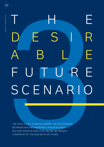# <span id="page-9-0"></span>THE YEARS 2030. IN DIGITAL EUROPE, THE RELATIONSHIP IS 2030. IN DIGITAL EUROPE, THE RELATIONSHIP IS 2014 The Home E DES IR A B L E FUTURE SCENAR

BETWEEN DATA AND DEMOCRACY HAS DEVELOPED IN A VERY POSITIVE DIRECTION. BELOW, WE PRESENT A SNAPSHOT OF THE 2030 WE'D LIKE TO SEE.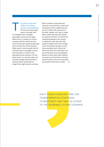THE DESIRABLE FUTURE SCENARIC THE DESIRABLE FUTURE SCENARIO

he choice of the year 2030 for our future scenario was deliberate. On the one hand, eight years is enough time to instigate major changes, equivalent to around two legislative terms. It means our future scenario still lies within the horizons of long-term political planning and is not too far off the present. Eight years is also enough time for transformative strategies to bear fruit and take us closer to the desirable future scenario. On the other hand, our scenario does not include changes that we'd like to see but which would take far longer than eight years to achieve. T

We've chosen to describe this scenario in textual form, which will necessarily have a beginning and an end. Unlike with a picture on the wall, readers can't get a rough idea of what the scenario entails at a glance and then scrutinise the interesting details more closely in whatever order they like. We present readers with one arrangement of fourteen sections, out of many possible ones. Almost all these sections are connected, not just those that come immediately before or after each other. Before we move on to the future scenario, we'd first like to set out a few basic assumptions that we've made:  $\rightarrow$ 

EIGHT YEARS IS ENOUGH TIME FOR TRANSFORMATIVE STRATEGIES TO BEAR FRUIT AND TAKE US CLOSER TO THE DESIRABLE FUTURE SCENARIO.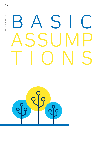### S ASSUMP TIONS



12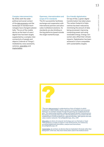BASIC ASSUMPTIONS BASIC ASSUMPTIONS

### Complex interconnectivity

By 2030, both the wider political and social context of the data economy and the landscape of standard technologies have changed substantially. The era of the mobile device as the heart of users' digital lives has been largely supplanted by a complex interconnectivity of people and objects ('Internet of Things') mediated by voice assistants, cameras, wearables and implantables.

### Openness, internationalism and scope of EU standards

The EU successfully facilitates exchange and cooperation with international partners and advocates multilateral solutions. Its standards are also binding on the big platforms based outside the single market/Europe.

### Eco-friendly digitalisation

On top of that, a green digital transformation has taken place. The carbon footprint of data centres has been reduced by minimising the amount of data being processed, improving computing power and using renewable energy. Energy consumers also offset their climate impacts. Digitalisation has been achieved in a form compatible with sustainability targets.



*"The term data economy is understood as a form of industry in which institutions, value creation chains, dynamics of competition and consumer behaviour on markets change through the growing use of digital technologies. The relationships between market participants (and/or institutions) are becoming increasingly data-based. This development is associated with the establishment of diverse platforms, data partnerships, data spaces and new value creation networks." [bit.ly/DigitalEurope\\_02](http://bit.ly/DigitalEurope_02), p. 103*

*Wearables are items of computer technology worn on the body or head. Their purpose is usually to support a real-world activity, for instance by providing (additional) information, analysis and instructions. [bit.ly/DigitalEurope\\_03](http://bit.ly/DigitalEurope_03)*

*Implantables, by contrast, are devices that are implanted in the body rather than being worn. Until now, they have mainly been used in the medical sector.*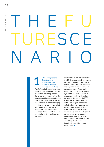### THE F U TURESCE NARIO

### The EU regulations from the early 2020s have been successfully implemented and updated

The EU's digital regulations have achieved their goals over the past decade: a functioning, diverse digital market operates within the framework of European legislation such as the DSA/DMA, which has been updated to reflect changing conditions. Instead of the market being dominated by a few big monopolies from a handful of countries, there is a wide range of market players from right across the world.

Data is able to move freely within the EU. Personal data is processed in line with various privacy standards, which have been amended with input from civil society and ordinary citizens. These include GDPR and EUid, a single sign-in system for EU citizens and businesses that each member state provides to its citizens. In 2030, data – and especially personal data – is managed differently; data trustees have become very common and only allow data to be used where it is in users' interests. Revenue models based on one-sided use of personal information, which often used to incentivise the collection of vast quantities of data, have been largely eliminated by the new constitution.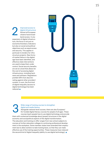Improved access to digital infrastructure Almost all European citizens have broadband access. In any expansion of digital infrastructure, the focus is not just on economic/monetary indicators but also on social and political objectives such as equal access and security. This applies in particular to tenders for infrastructure projects. New forms of market failure in the digital age have been identified, and effective state interventions are used to keep them under control. Social security benefits are set at a level that allows for the cost of accessing digital infrastructure, including hardware and software. Regulations prohibit ISPs from discriminating against other providers' content. In sum, the first kind of digital inequality (access to digital technology) has been reduced. 2



### 3

### Wide range of training courses to strengthen digital and media literacy

Alongside national-level courses, there are also European/ EU-funded digital literacy courses for people of all ages. These courses teach people how to use digital technology and provide

them with contextual knowledge about (power) structures in the digital economy and sociopolitical aspects of the digital transformation. The education and training on offer ranges from new school subjects to courses at further education colleges to continuing professional development in the workplace. Some member states have amended their employment law to allow workers to take training leave, so that they can make effective use of the training opportunities. These measures have reduced the second kind of digital inequality (ability to use digital technology).  $\blacksquare$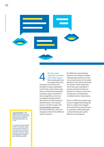*"Interoperability is the ability of various systems, organisations and technologies to work together." [bit.ly/DigitalEurope\\_02,](http://bit.ly/DigitalEurope_02) p. 107*

*Increased interoperability could, for instance, open up previously closed-off communication networks and allow users of a messaging service like Signal to exchange messages with WhatsApp users.* 

Pluralist media landscape and democratic public sphere New media platforms are supported by the 4

European Commission (for example through a dedicated fund) if they meet certain regulatory and technical standards. Funding is given to platforms whose algorithms do not encourage polarising content/ discussions and the spread of disinformation, that respect privacy and that comply with interoperability standards. On these platforms, users can integrate content from different areas of interest.

By 2030, this decentralised approach has allowed multiple interoperable platforms to flourish as alternatives to the media platforms that used to dominate the market. Some media platforms have also undergone a process of internal democratisation; for instance, they have introduced or strengthened co-determination mechanisms.

Since in 2030 most people have access to digital technology (2), there is a high level of digital and media literacy (3) and there is a pluralist media landscape, a vibrant democratic public sphere has emerged.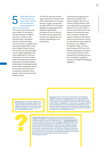### High digital literacy in the civil service, equal public–private partnerships and encouragement of 5

### open-source software

The civil service has become much better at running tendering processes for digital services. It is able to take well-informed, considered decisions when selecting service providers, suppliers and consultants (particularly in the area of digital infrastructure). The civil service has developed its own digital capabilities and is less dependent on fully outsourcing services. By reorganising its internal structures and processes to facilitate greater collaboration, knowledge transfer and a modern leadership culture, the civil service has become an attractive employer that is popular with young, technically skilled workers.

The civil service also increasingly works with companies and other stakeholders on an equal footing in public–private partnerships (PPPs). The European GovTech and civic tech sector supports digitalisation processes in the civil service through training, experience transfer and collaboration on software development and prototyping.

All government agencies are required to transparently assess whether open-source software (OSS) could be used as an alternative to proprietary products. As a result, OSS is used in over 80 per cent of new projects, increasing transparency, oversight, quality and security. Moreover, OSS developed for one particular context can be relatively easily adapted to another, e.g. a different EU member state. There is a pan-European OSS Fund that finances development projects and maintains infrastructure components (including encryption technology, navigation systems and augmented/virtual reality). ■

*GovTech (government technology) refers to technological and digital solutions provided by private and state investors and company founders for use in government, public administration and the public sector. [bit.ly/DigitalEurope\\_04](http://bit.ly/DigitalEurope_04)*

*Civic tech refers to citizens and civil society participating in research and policy via digital applications – apps, websites, platforms and more. The digital tools can create better access to information and facilitate communication and networking between citizens, organisations, communities, companies, politics and administration. This should enable more people to participate in political processes and, through more transparency, government action should be directly monitored and accountability strengthened. [bit.ly/DigitalEurope\\_05](http://bit.ly/DigitalEurope_05)*

*Virtual reality (VR) refers to a digital image of the real world that is created on a computer. VR glasses let users immerse themselves in an artificial world which seems remarkably real. (…) Augmented reality, by contrast, is based on the interaction of digital and analog worlds. This is usually achieved using glasses, but smartphone cameras can be used as well. Unlike the VR experience, users are never completely separated from their normal environment. Additional information about their environment is presented to users through their AR glasses or devices. For example, a warehouse worker can see where a specific spare part is stored on a shelf, or a mechanic can see helpful information on his smart glasses that can help him repair a particular component. [bit.ly/DigitalEurope\\_06](http://bit.ly/DigitalEurope_06)*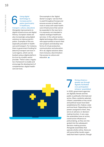### transport, culture, education)

Alongside improvements to digital infrastructure and digital literacy, European states are also increasingly using digital solutions to improve participation. Examples of this are especially prevalent in healthcare and transport. For instance, there is government funding for (electric) transport services in rural regions, which can be booked using a digital platform (co-)run by a public-sector provider. There is also a regulatory framework to enable and encourage the development of complementary digital healthcare services.

Using digital One example is the 'digital<br>technology to doctor's surgery' service the increase partici-<br>pation (particularly ensures access to health se<br>in healthcare vices in areas with weak he doctor's surgery' service that is used throughout Europe and ensures access to health services in areas with weak healthcare infrastructure that cannot be expanded in the near term; it is expressly not intended to replace analogue healthcare services. In the cultural sector, digital technology offers creators new opportunities to launch their own projects and develop new forms of virtual production, communication and education. All in all, digital solutions allow more inclusive, discriminationfree access to culture and education.



Giving citizens a greater say through digitally facilitated civic participation (citizens' assemblies)

7

In 2030, government agencies are digitally literate and the public is politically informed and active. Many randomly selected citizens' assemblies on key social and political issues have been established at EU, federal, state and local level. Depending on the powers assigned to them, they serve an advisory or decisionmaking function. In any case, the assemblies have an active, constructive influence on policymaking, as they are integrated into the subsequent decision-making process. Alongside assemblies that operate wholly online, there are still some (often locally organised) that meet in person, though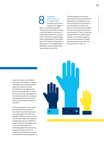### Expanded participation in EU digital policy Processes for participating in EU digital policy have been extended. These processes help to create a political basis for democratically organised access to data and for innovative digital applications designed for the public good. This applies especially to regulations on interoperability standards and European data spaces (see section 10). Expanded The participatory processes<br>participation in have improved trust between<br>EU digital policy digital policy stakeholders are<br>processes for partic-<br>inating in EU digital and the public) to better out-

have improved trust between all digital policy stakeholders and led (in the view of both experts and the public) to better outcomes. The EU provides funding for these processes at national and local level. There is now also a large network in which policymakers, civil society organisations and businesses regularly discuss issues around the use of and access to data.

even they make use of digital solutions: for instance, to select participants or to allow external experts to attend virtually (including AI-managed simultaneous interpreting). To make the process more transparent to the outside world, the meetings are streamed and there is the option to poll public opinion in real time.

Civic participation is very high: over half of all EU residents have been involved in participatory processes at at least one level (EU, federal, state or local), and the vast majority of these in multiple processes at different levels. Citizens' assemblies play a key role in decisions on extending digital infrastructure, especially when it comes to weighing up different economic, environmental and social goals.

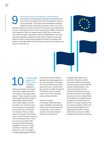### Improved technical and regulatory interoperability

A European cloud standard regulates the essential functions of cloud providers while also allowing new features to be developed. This ensures interoperability between different private and public providers, which in turn has

allowed a diverse, innovative market for European cloud solutions to flourish, reducing barriers to cloud computing for SMEs and government agencies, which no longer need to build their own servers. The result has been a big leap forward for digitalisation. There are also interoperability regulations that make it simpler to exchange different types of data using specified interfaces. European standards for interoperability have fostered competition throughout the platform economy.





### European data spaces have been created In addition, regulations

setting out targets and organisational principles have led to the creation of European data spaces. These spaces are open to the widest possible range of stakeholders (data holders, users, data subjects, service providers, etc.) and have security standards corresponding to the sensitivity of the data. For instance, there is a data space for transport that allows users to book transport services across national borders. Transport service providers offer structured data (timetables, availability of hire cars, other travellers' itineraries, traffic predictions, etc.) or an API in an open-data format. Booking

services can use this data to generate booking suggestions for users using their own algorithm and interface and taking account of users' preferences (e.g. private vs public transport). This allows users to directly make 'end-to-end' bookings across national borders.

### Another example:

A European healthcare data space facilitates international, public interest-based research on diabetes, which results in a better, more personalised selection of treatments.

European data spaces can promote innovation, growth and public welfare by enabling access to public goods. Besides a public funding system, this requires European venture capital so that these start-ups are able to flourish in the digital economy and are not dependent on funding from outside Europe. In addition, the improved competition in Europe resulting from successful regulatory efforts (1) prevents big companies from hogging the benefits of open data at the expense of smaller companies and public services.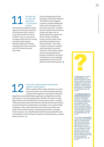### Stronger role for cities and large towns in running data projects

One specific example of a data space can be found at the level of local government, which is a key area of political activity in 2030. There is a network of European cities that are running innovative data projects. Member states permit these 'experimental zones' and make use of the lessons learned from them.

Cities exchange data on the European Urban Data Platform. This platform links together numerous climate dashboards, which many European towns and cities now have. The dashboards compile relevant data on energy and water use, air quality, greenhouse gas emissions, transport (walking, cycling, driving, public transport) and potential environmental hazards. They make it easier to measure, compare and understand successful outcomes. Civil society organisations and businesses are actively involved too. Key political decisions are increasingly made based on this real-time data from participating cities.



*"A data space is a shared, trustworthy space for data transactions. A data space is based on shared standards (or values, technologies, interfaces) permitting or promoting data transactions, for example." [bit.ly/DigitalEurope\\_02,](http://bit.ly/DigitalEurope_02) p. 105*

*"An application programming interface (API) is an interface that facilitates access to a technical system (e. g. software or a device) and determines the conditions under which the system can be used. It normally enables the standardised exchange of various data and information between systems." [bit.ly/DigitalEurope\\_02,](http://bit.ly/DigitalEurope_02) p. 101*

*"The concept of open data is generally understood as data in a machine-readable open format that is used, reused and forwarded freely by all users. Often it does not involve a one-off release of a data record but rather an ongoing process in which data is updated and users' queries relating to the data must be answered." [bit.ly/DigitalEurope\\_02,](http://bit.ly/DigitalEurope_02) p. 108*

### 12

### Use of data-aided evaluation and decision systems in policymaking

Data is used to inform policy decisions on social issues (as distinct from administrative decisions by government agencies, see below). Cities and

(large) towns and state/federal agencies use digital tools to help plan policy in a more consistent way. 'Bottom-up' data is increasingly used for early identification of areas where action is needed. These processes ensure that decision mechanisms and procedures are documented as transparently as possible, so as to permit legal challenges. Data-aided evaluation and monitoring systems are used in many areas of policy: social policy (pensions, unemployment insurance, etc.), health policy (health insurance benefits and contributions), environmental, transport and climate policy, customs policy and so on.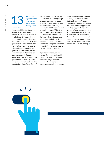System for e-government services and (semi-)automating public

### administration

Interoperability standards and data spaces have helped to establish a European version of the Estonian X-Road. It brings together all technical, legal and regulatory conditions, so that in principle all EU member states can digitise their government files and records (legislative, judicial, administrative) in the coming years. EU citizens can access almost all European government services and official procedures on a readily accessible, user-friendly platform (the updated version of Your Europe)

System for<br>
e-government<br>
e-government<br>
services and<br>
(semi-)auto-<br>
or property purchases). These<br>
mating public<br>
platforms have been very appointment in person (except for cases such as marriages or property purchases). These platforms have been very popular. By 2030, thanks in part to consistent use of OSS, the first European e-government applications have been fully digitised in line with data space regulations, including a digital European/international driver's licence and European education accounts for managing credits across multiple universities.

> Digitalisation has cut red tape in many EU states and significantly sped up administrative processes by government agencies. Some benefits are proactively administered by the

state without citizens needing to apply. For instance, immediately after a child's birth certificate is issued the parents are sent a prefilled application for child support. Where decisions are (semi-)automated, the algorithms are transparent and all decisions can be appealed. Areas relating to fundamental rights (such as asylum applications) are excluded from (semi-) automated decision-making.

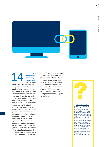

### Emergence of cooperative technology ecosystems **Standardised**

interfaces have also allowed a rapid expansion of digital applications designed for the local government level. As well as the interconnected climate dashboards mentioned earlier, there is now for instance an app developed by a Prague PPP that allows road users to report dangerous traffic situations with a single click, and which the municipal authorities use to set priorities for infrastructure projects or to rapidly implement preventive measures where necessary. Since this app operates with universal interoperability standards, complies with European data space regulations and uses OSS, many other cities have introduced it too (and made a contribution to the development costs for the

Emergence of GUI). In Groningen, a civic tech<br>cooperative initiative in collaboration with<br>technology local government and software<br>ecosystems companies are working on an<br>Standardised ungrade that would allow the initiative in collaboration with local government and software companies are working on an upgrade that would allow the app to detect patterns in the stress indicators transmitted by users, which would mean that consenting users would no longer need to make reports manually.

*A graphical user inter-*

*face (GUI) is an interface between human and machine that displays a system's back-end code in the most user-friendly way possible, so as to simplify day-to-day work with that system. Symbols and images are of particular importance, because they allow a universal application not dependent on text. For instance, almost everyone knows what a Wi-Fi symbol looks like, while the word for it is very different in different languages. [bit.ly/DigitalEurope\\_07](http://bit.ly/DigitalEurope_07)*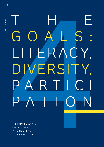## T G O A L S :<br>LITERACY,<br>DIVERSITY,<br>P A R T I O N<br>P A T I O N THE HAND GOALS: LITER ACY, ERS PARTICI PATION

THE FUTURE SCENARIO CAN BE SUMMED UP IN TERMS OF FIVE INTERRELATED GOALS:

<span id="page-23-0"></span>24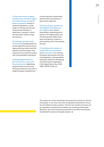1) Improved access to digital infrastructure and better digital and media literacy among the general population thanks to updated regulations, a wide range of training courses and improved participation in healthcare, transport, culture and education thanks to digital solutions.

### 2) Creating a pluralist media

landscape by funding platforms whose algorithms do not encourage polarising content and the spread of disinformation, that respect privacy and that comply with interoperability standards.

3) Raising digital literacy in the civil service to a par with the private sector, digitalising all government services and official procedures in line with a single European standard and

introducing (semi-)automated administrative procedures in government agencies.

4) Giving citizens a greater say with digitally facilitated civic

participation (e.g. citizens' assemblies), expanding participation in EU digital policy and introducing data-aided evaluation and decision systems in policymaking, with cities leading the way.

5) Facilitating the creation of cooperative and sustainable digital ecosystems by creating European data spaces and technical/regulatory interoperability

standards while also developing and enforcing EU regulations in the digital sector (e.g. DSA, DMA, GDPR, EUid). ■

THE GOALS THE GOALS

The options for action devised by the group focus mainly on the last three goals. In our view, they offer the greatest potential for innovative and effective policy options. The first two clusters of issues can be regarded as essential preconditions for achieving other goals. Moreover, they also featured prominently in the Alfred Herrhausen Gesellschaft's previous foresight project. ■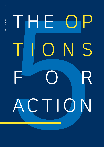# THE OP<br>TIONS<br>FOR<br>ACTION THE  O P TIONS FOR ACTION

<span id="page-25-0"></span>26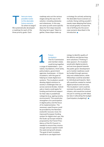here are many<br>possible routes<br>to this desirable<br>future scenario<br>So where to be possible routes to this desirable future scenario. So where to begin? We systematically developed a roadmap for each of the three priority goals. Each

roadmap sets out the various stages along the way to the solution, including obstacles and milestones. In this way, we came up with some specific ideas for first steps towards the long-term goal. Taken together, these steps make up

a strategy for actively achieving the desirable future scenario as a whole. Doing nothing wouldn't merely mean delaying that future, but would greatly increase the risk of drifting into the worstcase scenario described in the introduction.

Future incubators The EU Commission and member states could bring together

1

a range of stakeholders – journalists, foundations, think tanks, policymakers, government agencies, businesses – in future incubators, with the goal of helping to create digital ecosystems. The incubators would develop digital solutions to society's challenges that cut across sectoral divides. Individuals or teams could apply for funding and technical support for their idea in predefined categories (e.g. ageing society, environment). This would also strengthen civic participation in digital policy and the focus of its implementation. The necessary seed finance could be provided by the NextGenerationEU recovery fund. An improved European funding system for digital start-ups, like the Scale-up Europe initiative proposed by the French Presidency of the EU Council, is needed to ensure they receive enough venture capital in both the seed and growth phases. The goal of each incubator would be to use digital technology to identify quality of life deficits and devise longterm solutions ('Thinking in data spaces'). An incubator would pilot digital products and services geared towards the public good. Development up to market-readiness could be funded through sponsorship and collaborations, while fellowships could be awarded to individual participants. Spinoffs would be created to market digital products and services. The incubators' work could be overseen by panels of ordinary citizens, who would be involved not just in coming up with ideas but also in allocating the budget ('participatory budgeting').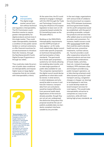DIGITAL EUROPE 2030

DIGITAL EUROPE 2030

### Improved interoperability The digital single market cannot func-

tion without technical and regulatory interoperability. The EU Commission could therefore resolve to require greater interoperability for digital products and services in the single market. They could make interoperability standards a condition of new public-sector tenders or contract extensions, or offer financial incentives for private businesses to introduce them (for instance, through the NextGenerationEU fund's Digital Europe Programme or through tax relief).

They could also make the provision of public data conditional on interoperability and impose higher taxes on large digital companies that do not comply with interoperability criteria.



*personal data is prepared in such a way that the data subject cannot be identified or can only be identified with a disproportionate amount of effort or by illegal means." [bit.ly/DigitalEurope\\_02,](http://bit.ly/DigitalEurope_02) p. 101*

At the same time, the EU could attempt to engage in dialogue with the USA through the Trade and Technology Council and bring the influence of European legislation to bear even on US companies based outside the EU (something known as the 'Brussels effect').

Building on the DMA/DSA's interoperability requirements and the GDPR principle of 'data agency', an EU-wide, multi-stakeholder digital council could make specific proposals on technical interoperability and harmonisation of data standards. The goal would be to break open proprietary systems by not merely allowing but enabling data transfer, and to make large quantities of public data available for use. The companies represented in the digital council would devise guidelines on what data could be stored, in what sectors, in which databases and who would be able to access it and how (for instance, transport data from cars and planes would be treated differently from personal health data). Applications of this kind are already possible, though they are not yet very widespread; the distinctive thing about this proposal would be the use of publicly available data via standards-compliant interfaces useable by any provider.

In the next stage, organisations with various kinds of collaborative structure (such as cooperatives, PPPs between businesses and local government bodies, not-for-profit companies) would be established, with the goal of providing accessible, competitive products and services that offer added value to commercial providers and consumers. For instance, health insurers could offer anonymised health data that could be used to develop health services, preventive treatments, nutrition advice, etc. Tourism providers could offer cooperative networks for regional products and services (customisable combinations of travel, hotels, activities, food, etc. instead of package holidays). PPPs between cities and transport providers (e.g. public transport operators, car or bike sharing schemes) could allow dynamic pricing for road/ transport use (e.g. congestion charges or cheaper car sharing) to be displayed in real time, or could develop needs-tailored transport services for rural regions. This would make interoperability attractive to companies as a way to win customers, while still maintaining high privacy standards.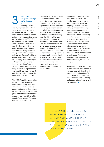### Alliance for European Exchange on Participation (AEExP) Working with civil

society organisations, EU institutions, foundations and the private sector, the European cities network could set up the Alliance for European Exchange on Participation (AEExP). The goal would be to exchange good examples of civic participation and develop new options for quick, effective participation that could be easily integrated into governmental processes right across Europe. Trailblazers of digital civic participation such as Spain (e.g. Barcelona's open data service), Estonia and Denmark (e.g. interfaces for accessing government services) bring a wealth of experience in dealing with technical complexity and diverse challenges that the whole EU could benefit from.

The AEExP could be established by the European Parliament, given a mandate by the Council and provided with a suitable annual budget, allowing it to set up an office and run its own projects. A broad-based recruitment process would identify and hire people from a range of sectors (not just the civil service).

Alliance for The AEExP would hold a major<br>
European Exchange annual conference in alter-<br>
on Participation (AEExP) attendees could share their<br>
Working with civil experiences discuss new initial annual conference in alternating European cities, where attendees could share their experiences, discuss new initiatives to improve participation and jointly develop technology projects, which could then be implemented with funding from the alliance. The technology projects funded by the AEExP would use open-source software and open standards (either existing ones or ones specially developed for the project) to ensure Europe-wide compatibility. All projects would be constructively supervised by independent civil society panels, which for all participatory formats would consider issues such as diversity, sustainability, inclusivity and public welfare.

Alongside the annual conference, there could also be regular local conferences on specific themes, based on ongoing debates in the host city (e.g. infrastructure projects, budgetary questions, taking utilities back into public ownership). Where competing formats, standards or processes exist, the alliance could act as an intermediary and make recommendations to ensure interoperability between different solutions. The impact of these high-profile conferences could bolster acceptance of and support/enthusiasm for data-driven applications and participatory solutions in Europe.

Alongside the conferences, the alliance would publish an annual report and send it directly to the competent member of the EU Commission. It could include specific proposals for creating and updating interfaces for civic participation.

TRAILBLAZERS OF DIGITAL CIVIC PARTICIPATION SUCH AS SPAIN, ESTONIA AND DENMARK BRING A WEALTH OF EXPERIENCE IN DEALING WITH TECHNICAL COMPLEXITY AND DIVERSE CHALLENGES.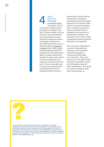Digital<br>Green |<br>To pror<br>sustain<br>ecosys Green Deal To promote sustainable digital ecosystems, the EU Commission could formulate principles for a Digital Green Deal. These principles could set out clear rules and standards for environmentally sustainable data storage and analysis technology and other energy-intensive processes such as streaming. Recent regulatory initiatives (DSA, DMA, AI Act) could be supplemented with proposals for improved sustainability. Funding could also be provided for green data centres. To ensure transparency, the measures would need to be set out in a clear, measurable way. To prevent the proposals that are developed from being blocked by the EU Council, it

would need to be ensured that they directly contribute to achieving the emissions targets declared by the member states and do not exceed the agreed limits. Leading business associations could be invited to supplement and comment on the demands included in the proposals, so as to take commercial interests into account without diluting the core elements.

The civil society organisations involved in developing the measures could use professional PR campaigns to communicate their broad social relevance. They could also serve an oversight function during the consultation period and build public pressure if other organisations, such as the EU Council, attempt to water down the proposals.

*The Commission announced its proposal for a regulation on artificial intelligence (AI Act) in April 2021. It aims 'to address risks of specific uses of AI, categorising them into four different levels: unacceptable risk, high risk, limited risk, and minimal risk. In doing so, the AI Regulation will make sure that Europeans can trust the AI they are using. The Regulation is also key to building an ecosystem of excellence in AI and strengthening the EU's ability to compete globally. [bit.ly/DigitalEurope\\_08](http://bit.ly/DigitalEurope_08)*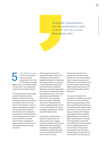TO ENSURE TRANSPARENCY, THE MEASURES WOULD NEED TO BE SET OUT IN A CLEAR, MEASURABLE WAY.

Civic Tech for Europe The EU Commission could set up the programme Civic Tech for Europe to increase digital literacy in member states' civil services. The programme could involve multiple strands. Civic Tech for Europe<br>
This programme would be<br>
The EU Commission financed through a fund, w<br>
could set up the contributions from the EU<br>
programme Civic Tech budget (funding from dedi-<br>
for Europe to increase

The first could be an exchange programme between businesses and the civil service. Company employees would be seconded to the civil service for 12 to 24 months to work on relevant digitalisation projects, and civil servants would be transferred to the employees' companies for the same period. A common governance framework would set out cooperation formats, transparency requirements and anti-corruption measures (e.g. training sessions).

financed through a fund, with contributions from the EU budget (funding from dedicated EU programmes), from savings on now-obsolete consultancy costs and from foundations. Applicants would be appointed according to professional expertise and experience, not formal educational qualifications. In this context, young professionals would be especially welcomed. The programme could include preparatory seminars and facilitation during the exchange, and diversity quotas could be implemented.

Companies would be incentivised to take part by the opportunity to act as good corporate citizens, which would also benefit their reputation. In addition, the participating employees would bring experience of working with the civil service back in-house.

The participants from the companies could be incentivised by work on tasks that give them a sense of purpose and fulfilment. For participants from the civil service, good training opportunities and a chance to work internationally could be attractive.

The second strand of the programme could be a voluntary EU Civic Tech Year. Primarily aimed at young people, participants would be able to spend a year applying their digital expertise (even if it only comes from being a member of the digital native generation) to specific digital projects at all levels of public administration in the EU. The programme could cater more effectively to the pressing need for digital expertise in the civil service than would be possible in the short term through demand-side reforms to recruitment and training.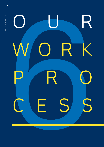

DIGITAL EUROPE 2030 DIGITAL EUROPE 2030

<span id="page-31-0"></span>32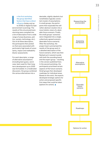OUR MORK PROCESS OUR WORK PROCESS

I n the first workshop, the group identified factors that have a direct influence (today and up to 2030) on digital Europe (environment scanning). The results of this structured brainstorming were compiled into a list of descriptors from a wide range of areas (business, politics, society, technology, etc.). Out of all these descriptors, the participants then picked six that were associated with particularly high levels of uncertainty, impact and malleability (factor assessment).

For each descriptor, a range of alternative assumptions (including best guess, worst case, best case) for their longterm development up to 2030 was formulated. In a moderated discussion, the group combined the various alternatives into a

desirable, slightly idealistic but nonetheless logically consistent cluster of assumptions. In small groups, the participants then expanded the still rather abstract clusters into a more holistic vision of a desirable future scenario. Finally, the small groups' scenarios were integrated into a single, collectively agreed scenario (desirable future scenario). After the workshop, the project team summarised the results of the group work in a detailed description of the future scenario, which was then fleshed out in several rounds with both the sounding board and the expert group – resulting in the version published here. In the second workshop, the participants prioritised certain aspects of the future scenario. Small groups then developed roadmaps for individual areas. Based on this work, the experts developed strategic options for action and proposed specific first steps that could be taken (options for action).

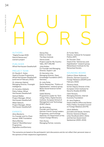

### AUTHORS

"Digital Europe 2030: Data & Democracy" scenario project

PUBLISHER Alfred Herrhausen Gesellschaft

### PROJECT TEAM

*Dr Claudia K. Huber,*  Head of Europe Programme, Alfred Herrhausen Gesellschaft (until end of February 2022)

*Dr Johannes Gabriel,*  Managing Director, Foresight Intelligence

*Dr Cornelius Adebahr,*  Policy Fellow, Alfred Herrhausen Gesellschaft

*Samuel Walker,*  Project Manager, Alfred Herrhausen Gesellschaft

*Milad Tabesch,*  Project Manager, Alfred Herrhausen Gesellschaft

### EXPERTS

*Aline Blankertz,*  Co-Founder and Co-Chairwoman, SINE Foundation

*Maria Blöcher,*  Head of 'Work4Germany' Programme, DigitalService4Germany

*Georg Diez,*  Editor-in-Chief, The New Institute

*Hanna Israel,*  Project Lead for My Country Talks, ZEIT ONLINE

*Julia Kloiber,*  Co-Founder and Managing Director, Superrr Lab

*Dr Henriette Litta,*  Managing Director, Open Knowledge Foundation (OKF) Germany

*Dr Julia Pohle,*  Senior Researcher, "Politics of Digitalisation" research group, Berlin Social Science Center (WZB)

*Isabel Skierka,*  Programme Leader for Technology Policy, Digital Society Institute, European School of Management and Technology (ESMT) Berlin

*Ilja Skrylnikow,*  Founder and Chairman, German-French Young Leaders Programme, and Exchange Diplomat, EU Department of the French Foreign Ministry

*Felix Styma,*  Managing Partner, iconomy *Dr Funda Tekin,*  Director, Institute for European Politics (IEP)

*Dr Thorsten Thiel,*  Head of the "Democracy and Digitalisation" research group, Weizenbaum Institute for the Networked Society

### SOUNDING BOARD

*Cathryn Clüver Ashbrook,* Director, German Council on Foreign Relations (DGAP) (until February 2022)

*Florence Gaub,*  former Deputy Director of the European Union Institute for Security Studies (EUISS)

*Clark Parsons,*  Managing Director, Internet Economy Foundation

*Dr Jana Puglierin,*  Head of Berlin Office and Senior Policy Fellow, European Council on Foreign Relations (ECFR)

*Ulrich Wilhelm,*  journalist and lawyer, formerly Director General of Bayerischer Rundfunk (2011–2021) and German Government Spokesman (2005–2010)

The scenarios are based on the participants' joint discussions and do not reflect their personal views or the opinions of their respective organisations.